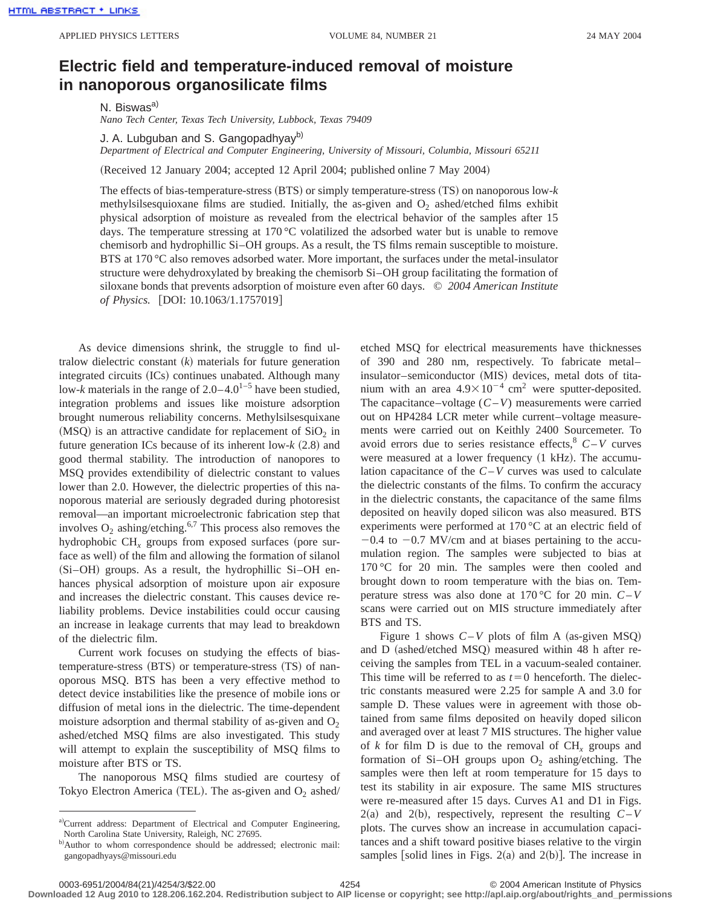## **Electric field and temperature-induced removal of moisture in nanoporous organosilicate films**

N. Biswas<sup>a)</sup>

*Nano Tech Center, Texas Tech University, Lubbock, Texas 79409*

J. A. Lubguban and S. Gangopadhyav<sup>b)</sup>

*Department of Electrical and Computer Engineering, University of Missouri, Columbia, Missouri 65211*

(Received 12 January 2004; accepted 12 April 2004; published online 7 May 2004)

The effects of bias-temperature-stress  $(BTS)$  or simply temperature-stress  $(TS)$  on nanoporous low- $k$ methylsilses quioxane films are studied. Initially, the as-given and  $O_2$  ashed/etched films exhibit physical adsorption of moisture as revealed from the electrical behavior of the samples after 15 days. The temperature stressing at  $170^{\circ}$ C volatilized the adsorbed water but is unable to remove chemisorb and hydrophillic Si–OH groups. As a result, the TS films remain susceptible to moisture. BTS at 170 °C also removes adsorbed water. More important, the surfaces under the metal-insulator structure were dehydroxylated by breaking the chemisorb Si–OH group facilitating the formation of siloxane bonds that prevents adsorption of moisture even after 60 days. © *2004 American Institute of Physics.* [DOI: 10.1063/1.1757019]

As device dimensions shrink, the struggle to find ultralow dielectric constant  $(k)$  materials for future generation integrated circuits (ICs) continues unabated. Although many low-*k* materials in the range of  $2.0-4.0^{1-5}$  have been studied, integration problems and issues like moisture adsorption brought numerous reliability concerns. Methylsilsesquixane (MSQ) is an attractive candidate for replacement of  $SiO<sub>2</sub>$  in future generation ICs because of its inherent low- $k$   $(2.8)$  and good thermal stability. The introduction of nanopores to MSQ provides extendibility of dielectric constant to values lower than 2.0. However, the dielectric properties of this nanoporous material are seriously degraded during photoresist removal—an important microelectronic fabrication step that involves  $O_2$  ashing/etching.<sup>6,7</sup> This process also removes the hydrophobic  $CH<sub>x</sub>$  groups from exposed surfaces (pore surface as well) of the film and allowing the formation of silanol (Si-OH) groups. As a result, the hydrophillic Si-OH enhances physical adsorption of moisture upon air exposure and increases the dielectric constant. This causes device reliability problems. Device instabilities could occur causing an increase in leakage currents that may lead to breakdown of the dielectric film.

Current work focuses on studying the effects of biastemperature-stress (BTS) or temperature-stress (TS) of nanoporous MSQ. BTS has been a very effective method to detect device instabilities like the presence of mobile ions or diffusion of metal ions in the dielectric. The time-dependent moisture adsorption and thermal stability of as-given and  $O<sub>2</sub>$ ashed/etched MSQ films are also investigated. This study will attempt to explain the susceptibility of MSQ films to moisture after BTS or TS.

The nanoporous MSQ films studied are courtesy of Tokyo Electron America (TEL). The as-given and  $O_2$  ashed/ etched MSQ for electrical measurements have thicknesses of 390 and 280 nm, respectively. To fabricate metal– insulator–semiconductor (MIS) devices, metal dots of titanium with an area  $4.9\times10^{-4}$  cm<sup>2</sup> were sputter-deposited. The capacitance–voltage  $(C-V)$  measurements were carried out on HP4284 LCR meter while current–voltage measurements were carried out on Keithly 2400 Sourcemeter. To avoid errors due to series resistance effects,  $C-V$  curves were measured at a lower frequency  $(1 \text{ kHz})$ . The accumulation capacitance of the *C*–*V* curves was used to calculate the dielectric constants of the films. To confirm the accuracy in the dielectric constants, the capacitance of the same films deposited on heavily doped silicon was also measured. BTS experiments were performed at 170 °C at an electric field of  $-0.4$  to  $-0.7$  MV/cm and at biases pertaining to the accumulation region. The samples were subjected to bias at 170 °C for 20 min. The samples were then cooled and brought down to room temperature with the bias on. Temperature stress was also done at 170 °C for 20 min. *C*–*V* scans were carried out on MIS structure immediately after BTS and TS.

Figure 1 shows  $C-V$  plots of film A (as-given MSQ) and D (ashed/etched MSQ) measured within 48 h after receiving the samples from TEL in a vacuum-sealed container. This time will be referred to as  $t=0$  henceforth. The dielectric constants measured were 2.25 for sample A and 3.0 for sample D. These values were in agreement with those obtained from same films deposited on heavily doped silicon and averaged over at least 7 MIS structures. The higher value of *k* for film D is due to the removal of CH*<sup>x</sup>* groups and formation of Si–OH groups upon  $O_2$  ashing/etching. The samples were then left at room temperature for 15 days to test its stability in air exposure. The same MIS structures were re-measured after 15 days. Curves A1 and D1 in Figs.  $2(a)$  and  $2(b)$ , respectively, represent the resulting  $C-V$ plots. The curves show an increase in accumulation capacitances and a shift toward positive biases relative to the virgin samples [solid lines in Figs. 2(a) and 2(b)]. The increase in

a)Current address: Department of Electrical and Computer Engineering, North Carolina State University, Raleigh, NC 27695.

b)Author to whom correspondence should be addressed; electronic mail: gangopadhyays@missouri.edu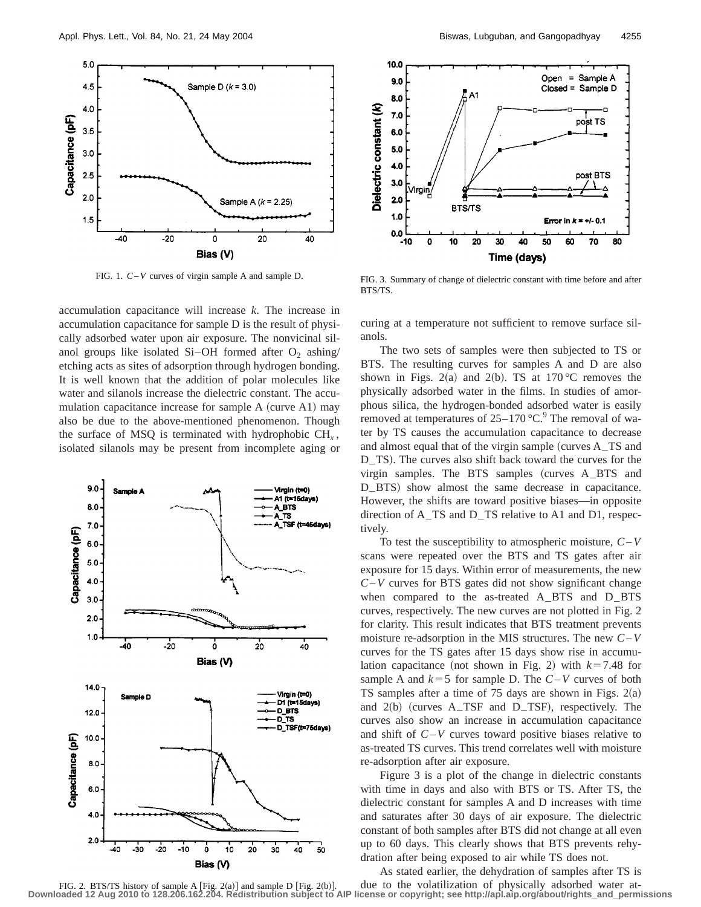

FIG. 1. *C*–*V* curves of virgin sample A and sample D.

accumulation capacitance will increase *k*. The increase in accumulation capacitance for sample D is the result of physically adsorbed water upon air exposure. The nonvicinal silanol groups like isolated Si-OH formed after  $O_2$  ashing/ etching acts as sites of adsorption through hydrogen bonding. It is well known that the addition of polar molecules like water and silanols increase the dielectric constant. The accumulation capacitance increase for sample  $A$  (curve  $A1$ ) may also be due to the above-mentioned phenomenon. Though the surface of MSQ is terminated with hydrophobic  $CH<sub>x</sub>$ , isolated silanols may be present from incomplete aging or





FIG. 3. Summary of change of dielectric constant with time before and after BTS/TS.

curing at a temperature not sufficient to remove surface silanols.

The two sets of samples were then subjected to TS or BTS. The resulting curves for samples A and D are also shown in Figs. 2(a) and 2(b). TS at 170 °C removes the physically adsorbed water in the films. In studies of amorphous silica, the hydrogen-bonded adsorbed water is easily removed at temperatures of  $25-170$  °C.<sup>9</sup> The removal of water by TS causes the accumulation capacitance to decrease and almost equal that of the virgin sample (curves  $A$ <sub>–</sub>TS and D\_TS). The curves also shift back toward the curves for the virgin samples. The BTS samples  $(curves A_B TS and$ D<sub>–</sub>BTS) show almost the same decrease in capacitance. However, the shifts are toward positive biases—in opposite direction of A–TS and D–TS relative to A1 and D1, respectively.

To test the susceptibility to atmospheric moisture, *C*–*V* scans were repeated over the BTS and TS gates after air exposure for 15 days. Within error of measurements, the new *C*–*V* curves for BTS gates did not show significant change when compared to the as-treated A–BTS and D–BTS curves, respectively. The new curves are not plotted in Fig. 2 for clarity. This result indicates that BTS treatment prevents moisture re-adsorption in the MIS structures. The new *C*–*V* curves for the TS gates after 15 days show rise in accumulation capacitance (not shown in Fig. 2) with  $k=7.48$  for sample A and  $k=5$  for sample D. The  $C-V$  curves of both TS samples after a time of 75 days are shown in Figs.  $2(a)$ and  $2(b)$  (curves A\_TSF and D\_TSF), respectively. The curves also show an increase in accumulation capacitance and shift of *C*–*V* curves toward positive biases relative to as-treated TS curves. This trend correlates well with moisture re-adsorption after air exposure.

Figure 3 is a plot of the change in dielectric constants with time in days and also with BTS or TS. After TS, the dielectric constant for samples A and D increases with time and saturates after 30 days of air exposure. The dielectric constant of both samples after BTS did not change at all even up to 60 days. This clearly shows that BTS prevents rehydration after being exposed to air while TS does not.

As stated earlier, the dehydration of samples after TS is

due to the volatilization of physically adsorbed water at-FIG. 2. BTS/TS history of sample A  $[Fig. 2(a)]$  and sample D  $[Fig. 2(b)]$ .<br>Downloaded 12 Aug 2010 to 128.206.162.204. Redistribution subject to AlP **Downloaded 12 Aug 2010 to 128.206.162.204. Redistribution subject to AIP license or copyright; see http://apl.aip.org/about/rights\_and\_permissions**